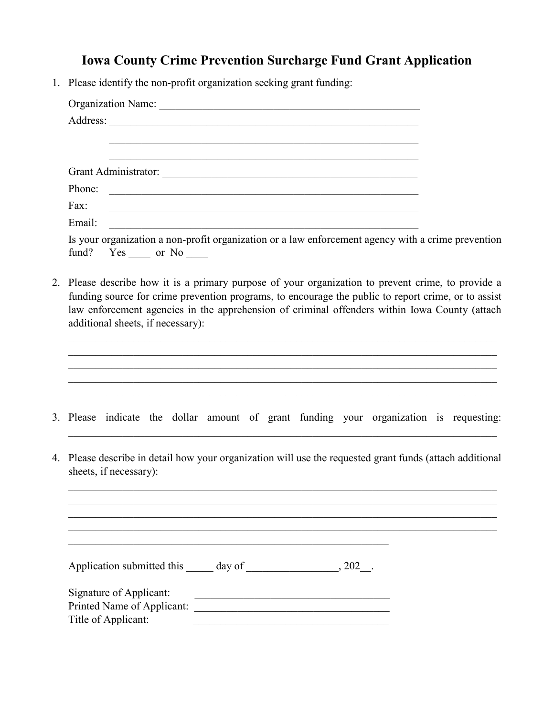## **Iowa County Crime Prevention Surcharge Fund Grant Application**

1. Please identify the non-profit organization seeking grant funding:

| Phone:<br><u> 1989 - Johann Barbara, martin amerikan basal dan berasal dan berasal dalam basal dan berasal dan berasal dan</u>                                                                                                                                                                                                                  |  |  |
|-------------------------------------------------------------------------------------------------------------------------------------------------------------------------------------------------------------------------------------------------------------------------------------------------------------------------------------------------|--|--|
| Fax:<br><u> 1989 - Johann John Stone, markin fan it fjort fan it fjort fan it fjort fan it fjort fan it fjort fan it fjort f</u>                                                                                                                                                                                                                |  |  |
| Email:<br><u> 2000 - 2000 - 2000 - 2000 - 2000 - 2000 - 2000 - 2000 - 2000 - 2000 - 2000 - 2000 - 2000 - 2000 - 2000 - 200</u>                                                                                                                                                                                                                  |  |  |
| Is your organization a non-profit organization or a law enforcement agency with a crime prevention<br>fund? Yes _____ or No _____                                                                                                                                                                                                               |  |  |
| 2. Please describe how it is a primary purpose of your organization to prevent crime, to provide a<br>funding source for crime prevention programs, to encourage the public to report crime, or to assist<br>law enforcement agencies in the apprehension of criminal offenders within Iowa County (attach<br>additional sheets, if necessary): |  |  |
| 3. Please indicate the dollar amount of grant funding your organization is requesting:                                                                                                                                                                                                                                                          |  |  |
|                                                                                                                                                                                                                                                                                                                                                 |  |  |
| 4. Please describe in detail how your organization will use the requested grant funds (attach additional<br>sheets, if necessary):                                                                                                                                                                                                              |  |  |
|                                                                                                                                                                                                                                                                                                                                                 |  |  |
|                                                                                                                                                                                                                                                                                                                                                 |  |  |
| Signature of Applicant:<br><u> 1989 - Johann Stoff, fransk politik (d. 1989)</u>                                                                                                                                                                                                                                                                |  |  |
|                                                                                                                                                                                                                                                                                                                                                 |  |  |
| Title of Applicant:<br><u> 1999 - Johann John Stoff, deutscher Stoffen und der Stoffen und der Stoffen und der Stoffen und der Stoffen u</u>                                                                                                                                                                                                    |  |  |